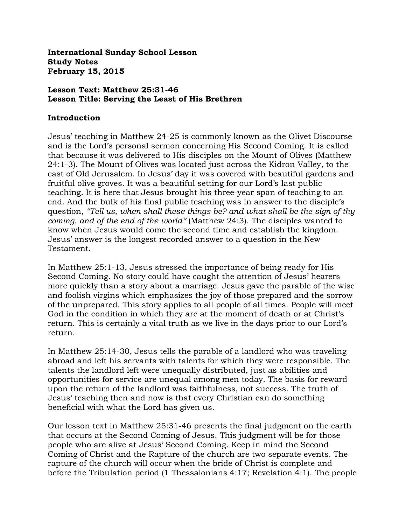**International Sunday School Lesson Study Notes February 15, 2015**

#### **Lesson Text: Matthew 25:31-46 Lesson Title: Serving the Least of His Brethren**

#### **Introduction**

Jesus' teaching in Matthew 24-25 is commonly known as the Olivet Discourse and is the Lord's personal sermon concerning His Second Coming. It is called that because it was delivered to His disciples on the Mount of Olives (Matthew 24:1-3). The Mount of Olives was located just across the Kidron Valley, to the east of Old Jerusalem. In Jesus' day it was covered with beautiful gardens and fruitful olive groves. It was a beautiful setting for our Lord's last public teaching. It is here that Jesus brought his three-year span of teaching to an end. And the bulk of his final public teaching was in answer to the disciple's question, *"Tell us, when shall these things be? and what shall be the sign of thy coming, and of the end of the world"* (Matthew 24:3). The disciples wanted to know when Jesus would come the second time and establish the kingdom. Jesus' answer is the longest recorded answer to a question in the New Testament.

In Matthew 25:1-13, Jesus stressed the importance of being ready for His Second Coming. No story could have caught the attention of Jesus' hearers more quickly than a story about a marriage. Jesus gave the parable of the wise and foolish virgins which emphasizes the joy of those prepared and the sorrow of the unprepared. This story applies to all people of all times. People will meet God in the condition in which they are at the moment of death or at Christ's return. This is certainly a vital truth as we live in the days prior to our Lord's return.

In Matthew 25:14-30, Jesus tells the parable of a landlord who was traveling abroad and left his servants with talents for which they were responsible. The talents the landlord left were unequally distributed, just as abilities and opportunities for service are unequal among men today. The basis for reward upon the return of the landlord was faithfulness, not success. The truth of Jesus' teaching then and now is that every Christian can do something beneficial with what the Lord has given us.

Our lesson text in Matthew 25:31-46 presents the final judgment on the earth that occurs at the Second Coming of Jesus. This judgment will be for those people who are alive at Jesus' Second Coming. Keep in mind the Second Coming of Christ and the Rapture of the church are two separate events. The rapture of the church will occur when the bride of Christ is complete and before the Tribulation period (1 Thessalonians 4:17; Revelation 4:1). The people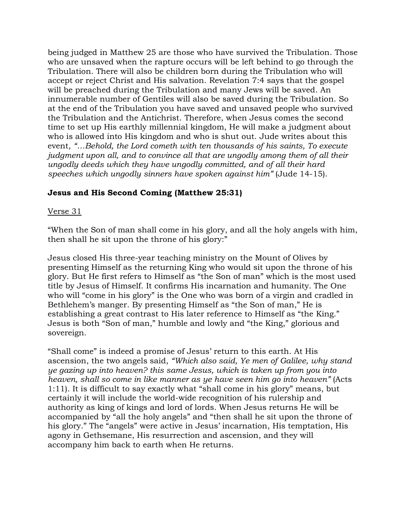being judged in Matthew 25 are those who have survived the Tribulation. Those who are unsaved when the rapture occurs will be left behind to go through the Tribulation. There will also be children born during the Tribulation who will accept or reject Christ and His salvation. Revelation 7:4 says that the gospel will be preached during the Tribulation and many Jews will be saved. An innumerable number of Gentiles will also be saved during the Tribulation. So at the end of the Tribulation you have saved and unsaved people who survived the Tribulation and the Antichrist. Therefore, when Jesus comes the second time to set up His earthly millennial kingdom, He will make a judgment about who is allowed into His kingdom and who is shut out. Jude writes about this event, *"…Behold, the Lord cometh with ten thousands of his saints, To execute judgment upon all, and to convince all that are ungodly among them of all their ungodly deeds which they have ungodly committed, and of all their hard speeches which ungodly sinners have spoken against him"* (Jude 14-15).

# **Jesus and His Second Coming (Matthew 25:31)**

## Verse 31

"When the Son of man shall come in his glory, and all the holy angels with him, then shall he sit upon the throne of his glory:"

Jesus closed His three-year teaching ministry on the Mount of Olives by presenting Himself as the returning King who would sit upon the throne of his glory. But He first refers to Himself as "the Son of man" which is the most used title by Jesus of Himself. It confirms His incarnation and humanity. The One who will "come in his glory" is the One who was born of a virgin and cradled in Bethlehem's manger. By presenting Himself as "the Son of man," He is establishing a great contrast to His later reference to Himself as "the King." Jesus is both "Son of man," humble and lowly and "the King," glorious and sovereign.

"Shall come" is indeed a promise of Jesus' return to this earth. At His ascension, the two angels said, *"Which also said, Ye men of Galilee, why stand ye gazing up into heaven? this same Jesus, which is taken up from you into heaven, shall so come in like manner as ye have seen him go into heaven"* (Acts 1:11). It is difficult to say exactly what "shall come in his glory" means, but certainly it will include the world-wide recognition of his rulership and authority as king of kings and lord of lords. When Jesus returns He will be accompanied by "all the holy angels" and "then shall he sit upon the throne of his glory." The "angels" were active in Jesus' incarnation, His temptation, His agony in Gethsemane, His resurrection and ascension, and they will accompany him back to earth when He returns.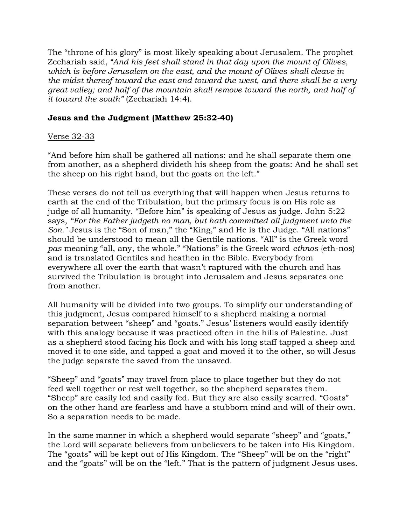The "throne of his glory" is most likely speaking about Jerusalem. The prophet Zechariah said, *"And his feet shall stand in that day upon the mount of Olives, which is before Jerusalem on the east, and the mount of Olives shall cleave in the midst thereof toward the east and toward the west, and there shall be a very great valley; and half of the mountain shall remove toward the north, and half of it toward the south"* (Zechariah 14:4).

# **Jesus and the Judgment (Matthew 25:32-40)**

# Verse 32-33

"And before him shall be gathered all nations: and he shall separate them one from another, as a shepherd divideth his sheep from the goats: And he shall set the sheep on his right hand, but the goats on the left."

These verses do not tell us everything that will happen when Jesus returns to earth at the end of the Tribulation, but the primary focus is on His role as judge of all humanity. "Before him" is speaking of Jesus as judge. John 5:22 says, *"For the Father judgeth no man, but hath committed all judgment unto the Son."* Jesus is the "Son of man," the "King," and He is the Judge. "All nations" should be understood to mean all the Gentile nations. "All" is the Greek word *pas* meaning "all, any, the whole." "Nations" is the Greek word *ethnos* {eth-nos} and is translated Gentiles and heathen in the Bible. Everybody from everywhere all over the earth that wasn't raptured with the church and has survived the Tribulation is brought into Jerusalem and Jesus separates one from another.

All humanity will be divided into two groups. To simplify our understanding of this judgment, Jesus compared himself to a shepherd making a normal separation between "sheep" and "goats." Jesus' listeners would easily identify with this analogy because it was practiced often in the hills of Palestine. Just as a shepherd stood facing his flock and with his long staff tapped a sheep and moved it to one side, and tapped a goat and moved it to the other, so will Jesus the judge separate the saved from the unsaved.

"Sheep" and "goats" may travel from place to place together but they do not feed well together or rest well together, so the shepherd separates them. "Sheep" are easily led and easily fed. But they are also easily scarred. "Goats" on the other hand are fearless and have a stubborn mind and will of their own. So a separation needs to be made.

In the same manner in which a shepherd would separate "sheep" and "goats," the Lord will separate believers from unbelievers to be taken into His Kingdom. The "goats" will be kept out of His Kingdom. The "Sheep" will be on the "right" and the "goats" will be on the "left." That is the pattern of judgment Jesus uses.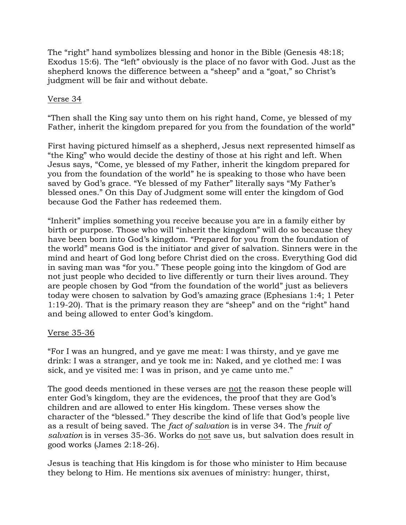The "right" hand symbolizes blessing and honor in the Bible (Genesis 48:18; Exodus 15:6). The "left" obviously is the place of no favor with God. Just as the shepherd knows the difference between a "sheep" and a "goat," so Christ's judgment will be fair and without debate.

## Verse 34

"Then shall the King say unto them on his right hand, Come, ye blessed of my Father, inherit the kingdom prepared for you from the foundation of the world"

First having pictured himself as a shepherd, Jesus next represented himself as "the King" who would decide the destiny of those at his right and left. When Jesus says, "Come, ye blessed of my Father, inherit the kingdom prepared for you from the foundation of the world" he is speaking to those who have been saved by God's grace. "Ye blessed of my Father" literally says "My Father's blessed ones." On this Day of Judgment some will enter the kingdom of God because God the Father has redeemed them.

"Inherit" implies something you receive because you are in a family either by birth or purpose. Those who will "inherit the kingdom" will do so because they have been born into God's kingdom. "Prepared for you from the foundation of the world" means God is the initiator and giver of salvation. Sinners were in the mind and heart of God long before Christ died on the cross. Everything God did in saving man was "for you." These people going into the kingdom of God are not just people who decided to live differently or turn their lives around. They are people chosen by God "from the foundation of the world" just as believers today were chosen to salvation by God's amazing grace (Ephesians 1:4; 1 Peter 1:19-20). That is the primary reason they are "sheep" and on the "right" hand and being allowed to enter God's kingdom.

### Verse 35-36

"For I was an hungred, and ye gave me meat: I was thirsty, and ye gave me drink: I was a stranger, and ye took me in: Naked, and ye clothed me: I was sick, and ye visited me: I was in prison, and ye came unto me."

The good deeds mentioned in these verses are not the reason these people will enter God's kingdom, they are the evidences, the proof that they are God's children and are allowed to enter His kingdom. These verses show the character of the "blessed." They describe the kind of life that God's people live as a result of being saved. The *fact of salvation* is in verse 34. The *fruit of salvation* is in verses 35-36. Works do not save us, but salvation does result in good works (James 2:18-26).

Jesus is teaching that His kingdom is for those who minister to Him because they belong to Him. He mentions six avenues of ministry: hunger, thirst,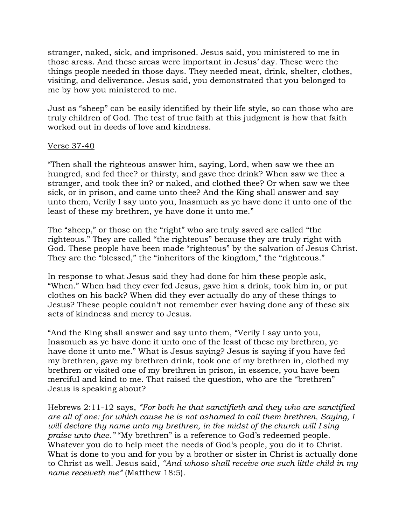stranger, naked, sick, and imprisoned. Jesus said, you ministered to me in those areas. And these areas were important in Jesus' day. These were the things people needed in those days. They needed meat, drink, shelter, clothes, visiting, and deliverance. Jesus said, you demonstrated that you belonged to me by how you ministered to me.

Just as "sheep" can be easily identified by their life style, so can those who are truly children of God. The test of true faith at this judgment is how that faith worked out in deeds of love and kindness.

#### Verse 37-40

"Then shall the righteous answer him, saying, Lord, when saw we thee an hungred, and fed thee? or thirsty, and gave thee drink? When saw we thee a stranger, and took thee in? or naked, and clothed thee? Or when saw we thee sick, or in prison, and came unto thee? And the King shall answer and say unto them, Verily I say unto you, Inasmuch as ye have done it unto one of the least of these my brethren, ye have done it unto me."

The "sheep," or those on the "right" who are truly saved are called "the righteous." They are called "the righteous" because they are truly right with God. These people have been made "righteous" by the salvation of Jesus Christ. They are the "blessed," the "inheritors of the kingdom," the "righteous."

In response to what Jesus said they had done for him these people ask, "When." When had they ever fed Jesus, gave him a drink, took him in, or put clothes on his back? When did they ever actually do any of these things to Jesus? These people couldn't not remember ever having done any of these six acts of kindness and mercy to Jesus.

"And the King shall answer and say unto them, "Verily I say unto you, Inasmuch as ye have done it unto one of the least of these my brethren, ye have done it unto me." What is Jesus saying? Jesus is saying if you have fed my brethren, gave my brethren drink, took one of my brethren in, clothed my brethren or visited one of my brethren in prison, in essence, you have been merciful and kind to me. That raised the question, who are the "brethren" Jesus is speaking about?

Hebrews 2:11-12 says, *"For both he that sanctifieth and they who are sanctified are all of one: for which cause he is not ashamed to call them brethren, Saying, I will declare thy name unto my brethren, in the midst of the church will I sing praise unto thee."* "My brethren" is a reference to God's redeemed people. Whatever you do to help meet the needs of God's people, you do it to Christ. What is done to you and for you by a brother or sister in Christ is actually done to Christ as well. Jesus said, *"And whoso shall receive one such little child in my name receiveth me"* (Matthew 18:5).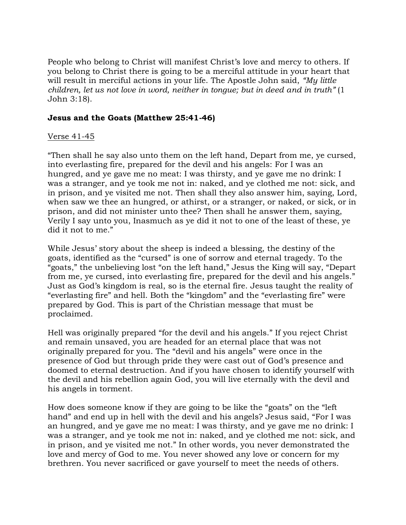People who belong to Christ will manifest Christ's love and mercy to others. If you belong to Christ there is going to be a merciful attitude in your heart that will result in merciful actions in your life. The Apostle John said, *"My little children, let us not love in word, neither in tongue; but in deed and in truth"* (1 John 3:18).

### **Jesus and the Goats (Matthew 25:41-46)**

### Verse 41-45

"Then shall he say also unto them on the left hand, Depart from me, ye cursed, into everlasting fire, prepared for the devil and his angels: For I was an hungred, and ye gave me no meat: I was thirsty, and ye gave me no drink: I was a stranger, and ye took me not in: naked, and ye clothed me not: sick, and in prison, and ye visited me not. Then shall they also answer him, saying, Lord, when saw we thee an hungred, or athirst, or a stranger, or naked, or sick, or in prison, and did not minister unto thee? Then shall he answer them, saying, Verily I say unto you, Inasmuch as ye did it not to one of the least of these, ye did it not to me."

While Jesus' story about the sheep is indeed a blessing, the destiny of the goats, identified as the "cursed" is one of sorrow and eternal tragedy. To the "goats," the unbelieving lost "on the left hand," Jesus the King will say, "Depart from me, ye cursed, into everlasting fire, prepared for the devil and his angels." Just as God's kingdom is real, so is the eternal fire. Jesus taught the reality of "everlasting fire" and hell. Both the "kingdom" and the "everlasting fire" were prepared by God. This is part of the Christian message that must be proclaimed.

Hell was originally prepared "for the devil and his angels." If you reject Christ and remain unsaved, you are headed for an eternal place that was not originally prepared for you. The "devil and his angels" were once in the presence of God but through pride they were cast out of God's presence and doomed to eternal destruction. And if you have chosen to identify yourself with the devil and his rebellion again God, you will live eternally with the devil and his angels in torment.

How does someone know if they are going to be like the "goats" on the "left hand" and end up in hell with the devil and his angels? Jesus said, "For I was an hungred, and ye gave me no meat: I was thirsty, and ye gave me no drink: I was a stranger, and ye took me not in: naked, and ye clothed me not: sick, and in prison, and ye visited me not." In other words, you never demonstrated the love and mercy of God to me. You never showed any love or concern for my brethren. You never sacrificed or gave yourself to meet the needs of others.